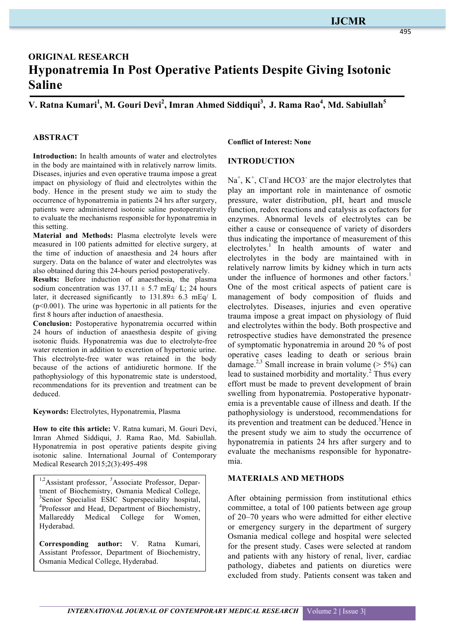# **ORIGINAL RESEARCH Hyponatremia In Post Operative Patients Despite Giving Isotonic Saline**

**Source of Support: Nil V. Ratna Kumari<sup>1</sup> , M. Gouri Devi<sup>2</sup> , Imran Ahmed Siddiqui<sup>3</sup> , J. Rama Rao4 , Md. Sabiullah<sup>5</sup>**

## **ABSTRACT**

**Introduction:** In health amounts of water and electrolytes in the body are maintained with in relatively narrow limits. Diseases, injuries and even operative trauma impose a great impact on physiology of fluid and electrolytes within the body. Hence in the present study we aim to study the occurrence of hyponatremia in patients 24 hrs after surgery, patients were administered isotonic saline postoperatively to evaluate the mechanisms responsible for hyponatremia in this setting.

**Material and Methods:** Plasma electrolyte levels were measured in 100 patients admitted for elective surgery, at the time of induction of anaesthesia and 24 hours after surgery. Data on the balance of water and electrolytes was also obtained during this 24-hours period postoperatively.

**Results:** Before induction of anaesthesia, the plasma sodium concentration was  $137.11 \pm 5.7$  mEq/ L; 24 hours later, it decreased significantly to 131.89± 6.3 mEq/ L  $(p<0.001)$ . The urine was hypertonic in all patients for the first 8 hours after induction of anaesthesia.

**Conclusion:** Postoperative hyponatremia occurred within 24 hours of induction of anaesthesia despite of giving isotonic fluids. Hyponatremia was due to electrolyte-free water retention in addition to excretion of hypertonic urine. This electrolyte-free water was retained in the body because of the actions of antidiuretic hormone. If the pathophysiology of this hyponatremic state is understood, recommendations for its prevention and treatment can be deduced.

**Keywords:** Electrolytes, Hyponatremia, Plasma

**How to cite this article:** V. Ratna kumari, M. Gouri Devi, Imran Ahmed Siddiqui, J. Rama Rao, Md. Sabiullah. Hyponatremia in post operative patients despite giving isotonic saline. International Journal of Contemporary Medical Research 2015;2(3):495-498

<sup>1,2</sup> Assistant professor, <sup>5</sup> Associate Professor, Department of Biochemistry, Osmania Medical College, 3 Senior Specialist ESIC Superspeciality hospital, 4 Professor and Head, Department of Biochemistry, Mallareddy Medical College for Women, Hyderabad.

**Corresponding author:** V. Ratna Kumari, Assistant Professor, Department of Biochemistry, Osmania Medical College, Hyderabad.

#### **Conflict of Interest: None**

#### **INTRODUCTION**

 $Na<sup>+</sup>, K<sup>+</sup>, Cl and HCO3<sup>-</sup>$  are the major electrolytes that play an important role in maintenance of osmotic pressure, water distribution, pH, heart and muscle function, redox reactions and catalysis as cofactors for enzymes. Abnormal levels of electrolytes can be either a cause or consequence of variety of disorders thus indicating the importance of measurement of this electrolytes.<sup>1</sup> In health amounts of water and electrolytes in the body are maintained with in relatively narrow limits by kidney which in turn acts under the influence of hormones and other factors.<sup>1</sup> One of the most critical aspects of patient care is management of body composition of fluids and electrolytes. Diseases, injuries and even operative trauma impose a great impact on physiology of fluid and electrolytes within the body. Both prospective and retrospective studies have demonstrated the presence of symptomatic hyponatremia in around 20 % of post operative cases leading to death or serious brain damage.<sup>2,3</sup> Small increase in brain volume ( $> 5\%$ ) can lead to sustained morbidity and mortality.<sup>2</sup> Thus every effort must be made to prevent development of brain swelling from hyponatremia. Postoperative hyponatremia is a preventable cause of illness and death. If the pathophysiology is understood, recommendations for its prevention and treatment can be deduced.<sup>3</sup>Hence in the present study we aim to study the occurrence of hyponatremia in patients 24 hrs after surgery and to evaluate the mechanisms responsible for hyponatremia.

#### **MATERIALS AND METHODS**

After obtaining permission from institutional ethics committee, a total of 100 patients between age group of 20–70 years who were admitted for either elective or emergency surgery in the department of surgery Osmania medical college and hospital were selected for the present study. Cases were selected at random and patients with any history of renal, liver, cardiac pathology, diabetes and patients on diuretics were excluded from study. Patients consent was taken and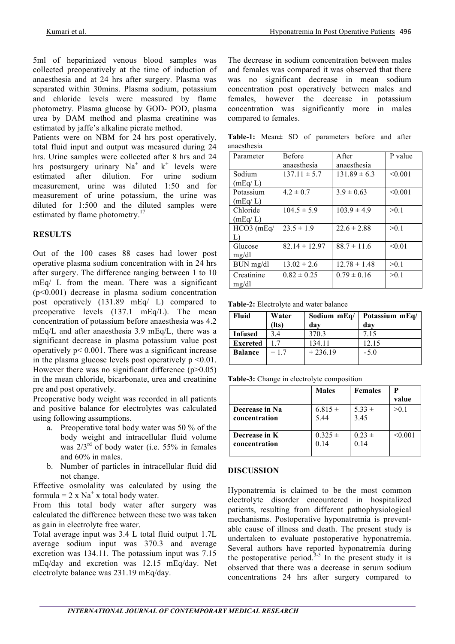5ml of heparinized venous blood samples was collected preoperatively at the time of induction of anaesthesia and at 24 hrs after surgery. Plasma was separated within 30mins. Plasma sodium, potassium and chloride levels were measured by flame photometry. Plasma glucose by GOD- POD, plasma urea by DAM method and plasma creatinine was estimated by jaffe's alkaline picrate method.

Patients were on NBM for 24 hrs post operatively, total fluid input and output was measured during 24 hrs. Urine samples were collected after 8 hrs and 24 hrs postsurgery urinary  $Na<sup>+</sup>$  and  $k<sup>+</sup>$  levels were estimated after dilution. For urine sodium measurement, urine was diluted 1:50 and for measurement of urine potassium, the urine was diluted for 1:500 and the diluted samples were estimated by flame photometry.<sup>17</sup>

## **RESULTS**

Out of the 100 cases 88 cases had lower post operative plasma sodium concentration with in 24 hrs after surgery. The difference ranging between 1 to 10 mEq/ L from the mean. There was a significant (p<0.001) decrease in plasma sodium concentration post operatively (131.89 mEq/ L) compared to preoperative levels (137.1 mEq/L). The mean concentration of potassium before anaesthesia was 4.2 mEq/L and after anaesthesia 3.9 mEq/L, there was a significant decrease in plasma potassium value post operatively  $p < 0.001$ . There was a significant increase in the plasma glucose levels post operatively  $p \le 0.01$ . However there was no significant difference  $(p>0.05)$ in the mean chloride, bicarbonate, urea and creatinine pre and post operatively.

Preoperative body weight was recorded in all patients and positive balance for electrolytes was calculated using following assumptions.

- a. Preoperative total body water was 50 % of the body weight and intracellular fluid volume was  $2/3^{rd}$  of body water (i.e. 55% in females and 60% in males.
- b. Number of particles in intracellular fluid did not change.

Effective osmolality was calculated by using the formula =  $2 \times Na^{+} \times$  total body water.

From this total body water after surgery was calculated the difference between these two was taken as gain in electrolyte free water.

Total average input was 3.4 L total fluid output 1.7L average sodium input was 370.3 and average excretion was 134.11. The potassium input was 7.15 mEq/day and excretion was 12.15 mEq/day. Net electrolyte balance was 231.19 mEq/day.

The decrease in sodium concentration between males and females was compared it was observed that there was no significant decrease in mean sodium concentration post operatively between males and females, however the decrease in potassium concentration was significantly more in males compared to females.

**Table-1:** Mean± SD of parameters before and after anaesthesia

| Parameter    | <b>Before</b>     | <b>A</b> fter    | P value |
|--------------|-------------------|------------------|---------|
|              | anaesthesia       | anaesthesia      |         |
| Sodium       | $137.11 \pm 5.7$  | $131.89 \pm 6.3$ | < 0.001 |
| (mEq/L)      |                   |                  |         |
| Potassium    | $4.2 \pm 0.7$     | $3.9 \pm 0.63$   | < 0.001 |
| (mEq/L)      |                   |                  |         |
| Chloride     | $104.5 \pm 5.9$   | $103.9 \pm 4.9$  | >0.1    |
| (mEq/L)      |                   |                  |         |
| $HCO3$ (mEq/ | $23.5 \pm 1.9$    | $22.6 \pm 2.88$  | >0.1    |
| L)           |                   |                  |         |
| Glucose      | $82.14 \pm 12.97$ | $88.7 \pm 11.6$  | < 0.01  |
| mg/dl        |                   |                  |         |
| BUN mg/dl    | $13.02 \pm 2.6$   | $12.78 \pm 1.48$ | >0.1    |
| Creatinine   | $0.82 \pm 0.25$   | $0.79 \pm 0.16$  | >0.1    |
| mg/dl        |                   |                  |         |

**Table-2:** Electrolyte and water balance

| Fluid           | Water       | Sodium mEq/ | Potassium mEq/ |
|-----------------|-------------|-------------|----------------|
|                 | $($ lts $)$ | dav         | dav            |
| <b>Infused</b>  | 34          | 370.3       | 7 1 5          |
| <b>Excreted</b> |             | 134.11      | 12.15          |
| <b>Balance</b>  | $+17$       | $+236.19$   | $-5.0$         |
|                 |             |             |                |

|                | <b>Males</b> | <b>Females</b> | value   |
|----------------|--------------|----------------|---------|
| Decrease in Na | $6.815 \pm$  | $5.33 \pm$     | >0.1    |
| concentration  | 5.44         | 3.45           |         |
| Decrease in K  | $0.325 \pm$  | $0.23 \pm$     | < 0.001 |
| concentration  | 0.14         | 0.14           |         |

## **DISCUSSION**

Hyponatremia is claimed to be the most common electrolyte disorder encountered in hospitalized patients, resulting from different pathophysiological mechanisms. Postoperative hyponatremia is preventable cause of illness and death. The present study is undertaken to evaluate postoperative hyponatremia. Several authors have reported hyponatremia during the postoperative period.<sup>3-5</sup> In the present study it is observed that there was a decrease in serum sodium concentrations 24 hrs after surgery compared to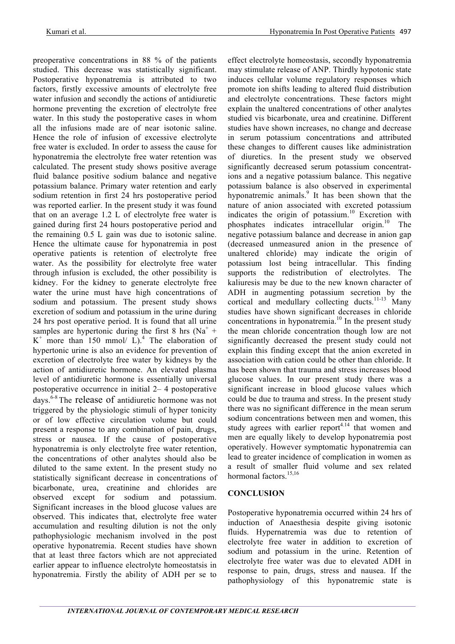preoperative concentrations in 88 % of the patients studied. This decrease was statistically significant. Postoperative hyponatremia is attributed to two factors, firstly excessive amounts of electrolyte free water infusion and secondly the actions of antidiuretic hormone preventing the excretion of electrolyte free water. In this study the postoperative cases in whom all the infusions made are of near isotonic saline. Hence the role of infusion of excessive electrolyte free water is excluded. In order to assess the cause for hyponatremia the electrolyte free water retention was calculated. The present study shows positive average fluid balance positive sodium balance and negative potassium balance. Primary water retention and early sodium retention in first 24 hrs postoperative period was reported earlier. In the present study it was found that on an average 1.2 L of electrolyte free water is gained during first 24 hours postoperative period and the remaining 0.5 L gain was due to isotonic saline. Hence the ultimate cause for hyponatremia in post operative patients is retention of electrolyte free water. As the possibility for electrolyte free water through infusion is excluded, the other possibility is kidney. For the kidney to generate electrolyte free water the urine must have high concentrations of sodium and potassium. The present study shows excretion of sodium and potassium in the urine during 24 hrs post operative period. It is found that all urine samples are hypertonic during the first 8 hrs ( $Na<sup>+</sup>$  +  $K^+$  more than 150 mmol/ L).<sup>4</sup> The elaboration of hypertonic urine is also an evidence for prevention of excretion of electrolyte free water by kidneys by the action of antidiuretic hormone. An elevated plasma level of antidiuretic hormone is essentially universal postoperative occurrence in initial 2– 4 postoperative days. 6-8 The release of antidiuretic hormone was not triggered by the physiologic stimuli of hyper tonicity or of low effective circulation volume but could present a response to any combination of pain, drugs, stress or nausea. If the cause of postoperative hyponatremia is only electrolyte free water retention, the concentrations of other analytes should also be diluted to the same extent. In the present study no statistically significant decrease in concentrations of bicarbonate, urea, creatinine and chlorides are observed except for sodium and potassium. Significant increases in the blood glucose values are observed. This indicates that, electrolyte free water accumulation and resulting dilution is not the only pathophysiologic mechanism involved in the post operative hyponatremia. Recent studies have shown that at least three factors which are not appreciated earlier appear to influence electrolyte homeostatsis in hyponatremia. Firstly the ability of ADH per se to

effect electrolyte homeostasis, secondly hyponatremia may stimulate release of ANP. Thirdly hypotonic state induces cellular volume regulatory responses which promote ion shifts leading to altered fluid distribution and electrolyte concentrations. These factors might explain the unaltered concentrations of other analytes studied vis bicarbonate, urea and creatinine. Different studies have shown increases, no change and decrease in serum potassium concentrations and attributed these changes to different causes like administration of diuretics. In the present study we observed significantly decreased serum potassium concentrations and a negative potassium balance. This negative potassium balance is also observed in experimental hyponatremic animals. <sup>9</sup> It has been shown that the nature of anion associated with excreted potassium indicates the origin of potassium. <sup>10</sup> Excretion with phosphates indicates intracellular origin. <sup>10</sup> The negative potassium balance and decrease in anion gap (decreased unmeasured anion in the presence of unaltered chloride) may indicate the origin of potassium lost being intracellular. This finding supports the redistribution of electrolytes. The kaliuresis may be due to the new known character of ADH in augmenting potassium secretion by the cortical and medullary collecting ducts.<sup>11-13</sup> Many studies have shown significant decreases in chloride concentrations in hyponatremia. <sup>10</sup> In the present study the mean chloride concentration though low are not significantly decreased the present study could not explain this finding except that the anion excreted in association with cation could be other than chloride. It has been shown that trauma and stress increases blood glucose values. In our present study there was a significant increase in blood glucose values which could be due to trauma and stress. In the present study there was no significant difference in the mean serum sodium concentrations between men and women, this study agrees with earlier report $4.14$  that women and men are equally likely to develop hyponatremia post operatively. However symptomatic hyponatremia can lead to greater incidence of complication in women as a result of smaller fluid volume and sex related hormonal factors.<sup>15,16</sup>

# **CONCLUSION**

Postoperative hyponatremia occurred within 24 hrs of induction of Anaesthesia despite giving isotonic fluids. Hypernatremia was due to retention of electrolyte free water in addition to excretion of sodium and potassium in the urine. Retention of electrolyte free water was due to elevated ADH in response to pain, drugs, stress and nausea. If the pathophysiology of this hyponatremic state is